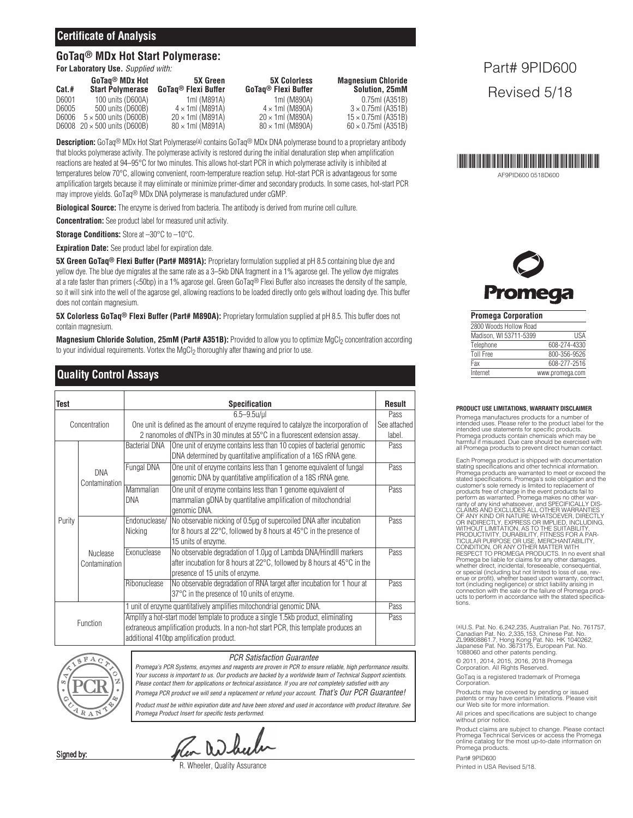## **Certificate of Analysis**

## **GoTaq® MDx Hot Start Polymerase:**

**For Laboratory Use.** *Supplied with:*

| Cat.# | GoTag® MDx Hot<br><b>Start Polymerase</b> | <b>5X Green</b><br>GoTag <sup>®</sup> Flexi Buffer | <b>5X Colorless</b><br>GoTag® Flexi Buffer | <b>Magnesium Chloride</b><br>Solution, 25mM |
|-------|-------------------------------------------|----------------------------------------------------|--------------------------------------------|---------------------------------------------|
| D6001 | 100 units (D600A)                         | 1ml (M891A)                                        | 1ml (M890A)                                | 0.75ml (A351B)                              |
| D6005 | 500 units (D600B)                         | $4 \times 1$ ml (M891A)                            | $4 \times 1$ ml (M890A)                    | $3 \times 0.75$ ml (A351B)                  |
| D6006 | $5 \times 500$ units (D600B)              | $20 \times 1$ ml (M891A)                           | $20 \times 1$ ml (M890A)                   | $15 \times 0.75$ ml (A351B)                 |
|       | D6008 $20 \times 500$ units (D600B)       | $80 \times 1$ ml (M891A)                           | $80 \times 1$ ml (M890A)                   | $60 \times 0.75$ ml (A351B)                 |

**Description:** GoTaq® MDx Hot Start Polymerase(a) contains GoTaq® MDx DNA polymerase bound to a proprietary antibody that blocks polymerase activity. The polymerase activity is restored during the initial denaturation step when amplification reactions are heated at 94–95°C for two minutes. This allows hot-start PCR in which polymerase activity is inhibited at temperatures below 70°C, allowing convenient, room-temperature reaction setup. Hot-start PCR is advantageous for some amplification targets because it may eliminate or minimize primer-dimer and secondary products. In some cases, hot-start PCR may improve yields. GoTaq® MDx DNA polymerase is manufactured under cGMP.

**Biological Source:** The enzyme is derived from bacteria. The antibody is derived from murine cell culture.

**Concentration:** See product label for measured unit activity.

**Storage Conditions:** Store at –30°C to –10°C.

**Expiration Date:** See product label for expiration date.

**5X Green GoTaq® Flexi Buffer (Part# M891A):** Proprietary formulation supplied at pH 8.5 containing blue dye and yellow dye. The blue dye migrates at the same rate as a 3–5kb DNA fragment in a 1% agarose gel. The yellow dye migrates at a rate faster than primers (<50bp) in a 1% agarose gel. Green GoTaq® Flexi Buffer also increases the density of the sample, so it will sink into the well of the agarose gel, allowing reactions to be loaded directly onto gels without loading dye. This buffer does not contain magnesium.

**5X Colorless GoTaq® Flexi Buffer (Part# M890A):** Proprietary formulation supplied at pH 8.5. This buffer does not contain magnesium.

**Magnesium Chloride Solution, 25mM (Part# A351B):** Provided to allow you to optimize MgCl<sub>2</sub> concentration according to your individual requirements. Vortex the MgCl<sub>2</sub> thoroughly after thawing and prior to use.

# **Quality Control Assays**

| Test          |                             | <b>Specification</b>                                                                  |                                                                                              |      |
|---------------|-----------------------------|---------------------------------------------------------------------------------------|----------------------------------------------------------------------------------------------|------|
| Concentration |                             | $6.5 - 9.5$ u/ul                                                                      |                                                                                              | Pass |
|               |                             | One unit is defined as the amount of enzyme required to catalyze the incorporation of |                                                                                              |      |
|               |                             | 2 nanomoles of dNTPs in 30 minutes at 55°C in a fluorescent extension assay.          |                                                                                              |      |
|               | <b>DNA</b><br>Contamination | <b>Bacterial DNA</b>                                                                  | One unit of enzyme contains less than 10 copies of bacterial genomic                         | Pass |
|               |                             |                                                                                       | DNA determined by quantitative amplification of a 16S rRNA gene.                             |      |
|               |                             | Fungal DNA                                                                            | One unit of enzyme contains less than 1 genome equivalent of fungal                          | Pass |
|               |                             |                                                                                       | genomic DNA by quantitative amplification of a 18S rRNA gene.                                |      |
|               |                             | Mammalian                                                                             | One unit of enzyme contains less than 1 genome equivalent of                                 | Pass |
|               |                             | <b>DNA</b>                                                                            | mammalian gDNA by quantitative amplification of mitochondrial                                |      |
| Purity        |                             |                                                                                       | genomic DNA.                                                                                 |      |
|               | Nuclease<br>Contamination   | Endonuclease/                                                                         | No observable nicking of 0.5µg of supercoiled DNA after incubation                           | Pass |
|               |                             | Nicking                                                                               | for 8 hours at 22 $\degree$ C, followed by 8 hours at 45 $\degree$ C in the presence of      |      |
|               |                             |                                                                                       | 15 units of enzyme.                                                                          |      |
|               |                             | Exonuclease                                                                           | No observable degradation of 1.0µg of Lambda DNA/HindIII markers                             | Pass |
|               |                             |                                                                                       | after incubation for 8 hours at $22^{\circ}$ C, followed by 8 hours at $45^{\circ}$ C in the |      |
|               |                             |                                                                                       | presence of 15 units of enzyme.                                                              |      |
|               |                             | Ribonuclease                                                                          | No observable degradation of RNA target after incubation for 1 hour at                       | Pass |
|               |                             |                                                                                       | 37°C in the presence of 10 units of enzyme.                                                  |      |
| Function      |                             |                                                                                       | 1 unit of enzyme quantitatively amplifies mitochondrial genomic DNA.                         | Pass |
|               |                             | Amplify a hot-start model template to produce a single 1.5kb product, eliminating     |                                                                                              |      |
|               |                             | extraneous amplification products. In a non-hot start PCR, this template produces an  |                                                                                              |      |
|               |                             | additional 410bp amplification product.                                               |                                                                                              |      |
|               |                             |                                                                                       |                                                                                              |      |



Signed by:

*PCR Satisfaction Guarantee*

*Promega's PCR Systems, enzymes and reagents are proven in PCR to ensure reliable, high performance results.* Your success is important to us. Our products are backed by a worldwide team of Technical Support scientists. *Please contact them for applications or technical assistance. If you are not completely satisfied with any Promega PCR product we will send a replacement or refund your account. That's Our PCR Guarantee!* Product must be within expiration date and have been stored and used in accordance with product literature. See *Promega Product Insert for specific tests performed.*

lea When

R. Wheeler, Quality Assurance

Part# 9PID600 Revised 5/18



AF9PID600 0518D600



**Promega Corporation**

| 2800 Woods Hollow Road |                 |
|------------------------|-----------------|
| Madison, WI 53711-5399 | <b>IISA</b>     |
| Telephone              | 608-274-4330    |
| <b>Toll Free</b>       | 800-356-9526    |
| Fax                    | 608-277-2516    |
| Internet               | www.promega.com |

#### **PRODUCT USE LIMITATIONS, WARRANTY DISCLAIMER**

Promega manufactures products for a number of intended uses. Please refer to the product label for the intended use statements for specific products. Promega products contain chemicals which may be harmful if misused. Due care should be exercised with all Promega products to prevent direct human contact.

Each Promega product is shipped with documentation stating specifications and other technical information. Promega products are warranted to meet or exceed the<br>stated specifications. Promega's sole obligation and the<br>customer's sole remedy is limited to replacement of<br>products free of charge in the event products fail to<br>perfor enue or profit), whether based upon warranty, contract,<br>tort (including negligence) or strict liability arising in<br>connection with the sale or the failure of Promega prod-<br>ucts to perform in accordance with the stated spec

(a)U.S. Pat. No. 6,242,235, Australian Pat. No. 761757, Canadian Pat. No. 2,335,153, Chinese Pat. No. ZL99808861.7, Hong Kong Pat. No. HK 1040262, Japanese Pat. No. 3673175, European Pat. No. 1088060 and other patents pending.

© 2011, 2014, 2015, 2016, 2018 Promega Corporation. All Rights Reserved.

GoTaq is a registered trademark of Promega Corporation.

Products may be covered by pending or issued patents or may have certain limitations. Please visit our Web site for more information.

All prices and specifications are subject to change without prior notice.

Product claims are subject to change. Please contact Promega Technical Services or access the Promega online catalog for the most up-to-date information on Promega products.

Part# 9PID600 Printed in USA Revised 5/18.